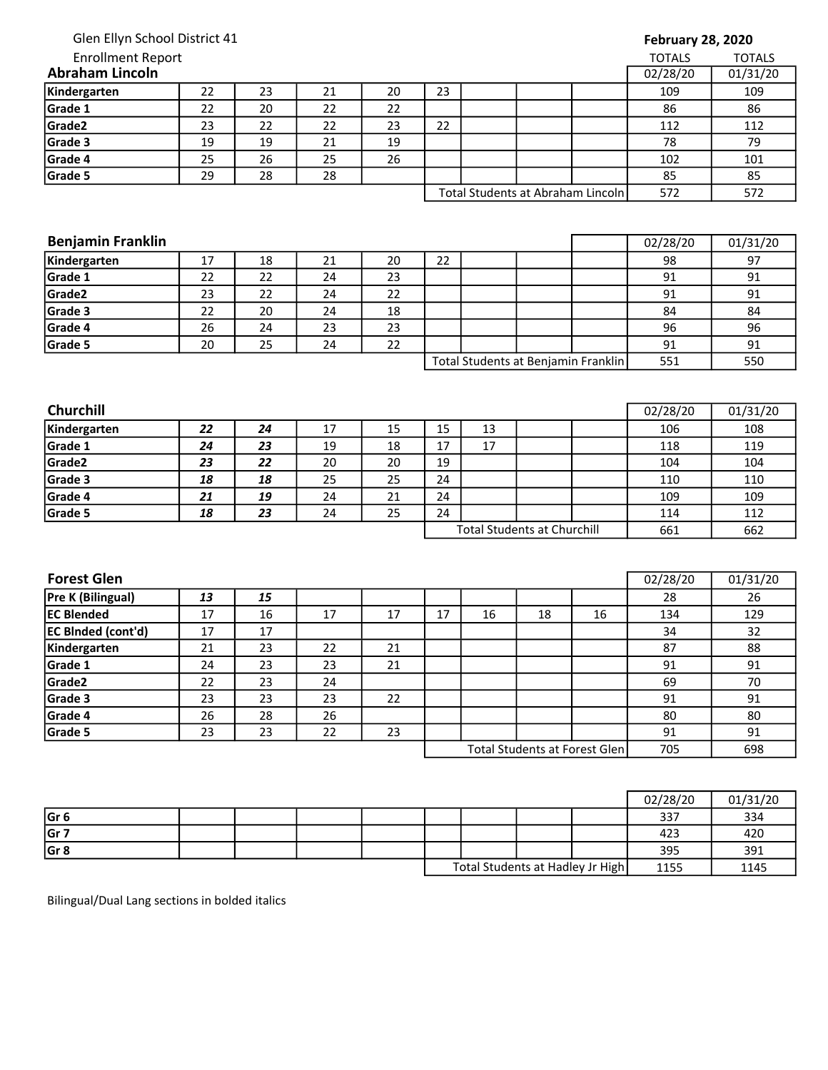## February 28, 2020

| <b>Enrollment Report</b> |          |          |    |    |    |                                   |  |     | <b>TOTALS</b> | <b>TOTALS</b> |
|--------------------------|----------|----------|----|----|----|-----------------------------------|--|-----|---------------|---------------|
| <b>Abraham Lincoln</b>   | 02/28/20 | 01/31/20 |    |    |    |                                   |  |     |               |               |
| Kindergarten             | 22       | 23       | 21 | 20 | 23 |                                   |  |     | 109           | 109           |
| Grade 1                  | 22       | 20       | 22 | 22 |    |                                   |  |     | 86            | 86            |
| Grade <sub>2</sub>       | 23       | 22       | 22 | 23 | 22 |                                   |  |     | 112           | 112           |
| Grade 3                  | 19       | 19       | 21 | 19 |    |                                   |  |     | 78            | 79            |
| Grade 4                  | 25       | 26       | 25 | 26 |    |                                   |  |     | 102           | 101           |
| Grade 5                  | 29       | 28       | 28 |    |    |                                   |  |     | 85            | 85            |
|                          |          |          |    |    |    | Total Students at Abraham Lincoln |  | 572 | 572           |               |

| <b>Benjamin Franklin</b> |    |    |    |    |    |                                     | 02/28/20 | 01/31/20 |
|--------------------------|----|----|----|----|----|-------------------------------------|----------|----------|
| Kindergarten             | 17 | 18 | 21 | 20 | 22 |                                     | 98       | 97       |
| Grade 1                  | 22 | 22 | 24 | 23 |    |                                     | 91       | 91       |
| Grade <sub>2</sub>       | 23 | 22 | 24 | 22 |    |                                     | 91       | 91       |
| Grade 3                  | 22 | 20 | 24 | 18 |    |                                     | 84       | 84       |
| Grade 4                  | 26 | 24 | 23 | 23 |    |                                     | 96       | 96       |
| Grade 5                  | 20 | 25 | 24 | 22 |    |                                     | 91       | 91       |
|                          |    |    |    |    |    | Total Students at Benjamin Franklin | 551      | 550      |

| <b>Churchill</b> |    |    |    |    |                                    |    |  |  | 02/28/20 | 01/31/20 |
|------------------|----|----|----|----|------------------------------------|----|--|--|----------|----------|
| Kindergarten     | 22 | 24 | 17 | 15 | 15                                 | 13 |  |  | 106      | 108      |
| Grade 1          | 24 | 23 | 19 | 18 | 17                                 | 17 |  |  | 118      | 119      |
| Grade2           | 23 | 22 | 20 | 20 | 19                                 |    |  |  | 104      | 104      |
| Grade 3          | 18 | 18 | 25 | 25 | 24                                 |    |  |  | 110      | 110      |
| Grade 4          | 21 | 19 | 24 | 21 | 24                                 |    |  |  | 109      | 109      |
| Grade 5          | 18 | 23 | 24 | 25 | 24                                 |    |  |  | 114      | 112      |
|                  |    |    |    |    | <b>Total Students at Churchill</b> |    |  |  | 661      | 662      |

| <b>Forest Glen</b>        |    |    |    |    |    |    |                               |     | 02/28/20 | 01/31/20 |
|---------------------------|----|----|----|----|----|----|-------------------------------|-----|----------|----------|
| Pre K (Bilingual)         | 13 | 15 |    |    |    |    |                               |     | 28       | 26       |
| <b>IEC Blended</b>        | 17 | 16 | 17 | 17 | 17 | 16 | 18                            | 16  | 134      | 129      |
| <b>EC BInded (cont'd)</b> | 17 | 17 |    |    |    |    |                               |     | 34       | 32       |
| Kindergarten              | 21 | 23 | 22 | 21 |    |    |                               |     | 87       | 88       |
| Grade 1                   | 24 | 23 | 23 | 21 |    |    |                               |     | 91       | 91       |
| Grade2                    | 22 | 23 | 24 |    |    |    |                               |     | 69       | 70       |
| Grade 3                   | 23 | 23 | 23 | 22 |    |    |                               |     | 91       | 91       |
| Grade 4                   | 26 | 28 | 26 |    |    |    |                               |     | 80       | 80       |
| Grade 5                   | 23 | 23 | 22 | 23 |    |    |                               |     | 91       | 91       |
|                           |    |    |    |    |    |    | Total Students at Forest Glen | 705 | 698      |          |

|                 |  |  |  |                                  | 02/28/20 | 01/31/20 |
|-----------------|--|--|--|----------------------------------|----------|----------|
| Gr <sub>6</sub> |  |  |  |                                  | 337      | 334      |
| Gr 7            |  |  |  |                                  | 423      | 420      |
| Gr <sub>8</sub> |  |  |  |                                  | 395      | 391      |
|                 |  |  |  | Total Students at Hadley Jr High | 1155     | 1145     |

Bilingual/Dual Lang sections in bolded italics